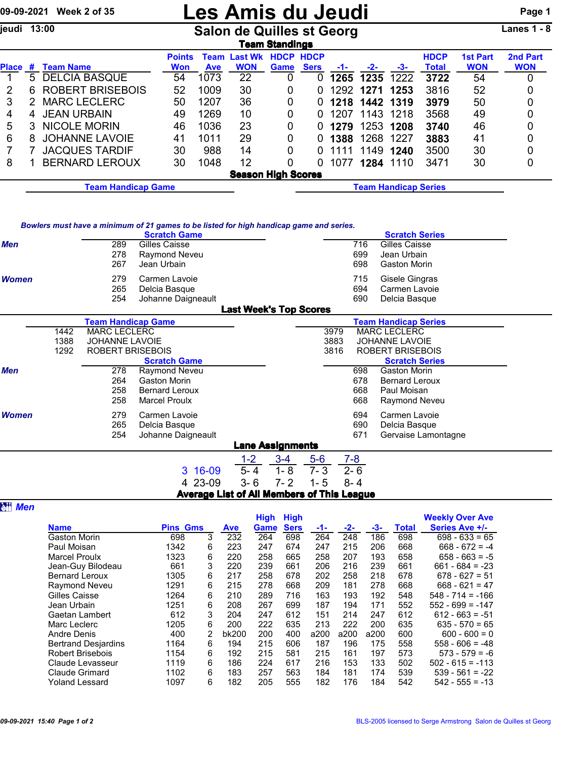## 09-09-2021 Week 2 of 35 **Les Amis du Jeudi** Page 1

jeudi 13:00 Salon de Quilles st Georg Lanes 1 - 8

| .anes |  |  |  |
|-------|--|--|--|
|-------|--|--|--|

| Team Standings     |                           |                         |               |            |                     |                  |             |       |           |                             |              |                 |            |
|--------------------|---------------------------|-------------------------|---------------|------------|---------------------|------------------|-------------|-------|-----------|-----------------------------|--------------|-----------------|------------|
|                    |                           |                         | <b>Points</b> |            | <b>Team Last Wk</b> | <b>HDCP HDCP</b> |             |       |           |                             | <b>HDCP</b>  | <b>1st Part</b> | 2nd Part   |
| <b>Place</b>       | #                         | <b>Team Name</b>        | <b>Won</b>    | <b>Ave</b> | <b>WON</b>          | Game             | <b>Sers</b> | $-1-$ | $-2-$     | -3-                         | <b>Total</b> | <b>WON</b>      | <b>WON</b> |
|                    | 5.                        | <b>DELCIA BASQUE</b>    | 54            | 1073       | 22                  | 0                |             | 1265  | 1235      | 1222                        | 3722         | 54              | 0          |
| 2                  | 6                         | <b>ROBERT BRISEBOIS</b> | 52            | 1009       | 30                  | 0                | 0           | 1292  | 1271      | 1253                        | 3816         | 52              | 0          |
| 3                  |                           | <b>MARC LECLERC</b>     | 50            | 1207       | 36                  | 0                |             | 1218  | 1442 1319 |                             | 3979         | 50              | 0          |
| 4                  | 4                         | <b>JEAN URBAIN</b>      | 49            | 1269       | 10                  | 0                |             | 1207  | 1143 1218 |                             | 3568         | 49              | 0          |
| 5                  | 3                         | <b>NICOLE MORIN</b>     | 46            | 1036       | 23                  | 0                |             | 1279  | 1253 1208 |                             | 3740         | 46              | 0          |
| 6                  | 8                         | <b>JOHANNE LAVOIE</b>   | 41            | 1011       | 29                  | 0                | 0           | 1388  | 1268      | 1227                        | 3883         | 41              | 0          |
|                    |                           | <b>JACQUES TARDIF</b>   | 30            | 988        | 14                  | 0                | 0           | 1111  | 1149      | 1240                        | 3500         | 30              | 0          |
| 8                  |                           | <b>BERNARD LEROUX</b>   | 30            | 1048       | 12                  | 0                |             | 1077  | 1284      | 1110                        | 3471         | 30              | 0          |
|                    | <b>Season High Scores</b> |                         |               |            |                     |                  |             |       |           |                             |              |                 |            |
| Team Handicap Game |                           |                         |               |            |                     |                  |             |       |           | <b>Team Handicap Series</b> |              |                 |            |

*Bowlers must have a minimum of 21 games to be listed for high handicap game and series.*

|              |      |                           | Dowlers must have a minimum or z r games to be nated for myn handicap game and series.<br><b>Scratch Game</b> |                               |                         |         |         | <b>Scratch Series</b>       |  |
|--------------|------|---------------------------|---------------------------------------------------------------------------------------------------------------|-------------------------------|-------------------------|---------|---------|-----------------------------|--|
| <b>Men</b>   |      | 289                       | Gilles Caisse                                                                                                 |                               |                         |         | 716     | Gilles Caisse               |  |
|              |      | 278                       | Raymond Neveu                                                                                                 |                               |                         |         | 699     | Jean Urbain                 |  |
|              |      | 267                       | Jean Urbain                                                                                                   |                               |                         |         | 698     | <b>Gaston Morin</b>         |  |
| <b>Women</b> |      | 279                       | Carmen Lavoie                                                                                                 |                               |                         |         | 715     | Gisele Gingras              |  |
|              |      | 265                       | Delcia Basque                                                                                                 |                               |                         |         | 694     | Carmen Lavoie               |  |
|              |      | 254                       | Johanne Daigneault                                                                                            |                               |                         |         | 690     | Delcia Basque               |  |
|              |      |                           |                                                                                                               | <b>Last Week's Top Scores</b> |                         |         |         |                             |  |
|              |      | <b>Team Handicap Game</b> |                                                                                                               |                               |                         |         |         | <b>Team Handicap Series</b> |  |
|              | 1442 | <b>MARC LECLERC</b>       |                                                                                                               |                               |                         |         | 3979    | <b>MARC LECLERC</b>         |  |
|              | 1388 | <b>JOHANNE LAVOIE</b>     |                                                                                                               |                               |                         |         | 3883    | <b>JOHANNE LAVOIE</b>       |  |
|              | 1292 | ROBERT BRISEBOIS          |                                                                                                               |                               |                         |         | 3816    | <b>ROBERT BRISEBOIS</b>     |  |
|              |      |                           | <b>Scratch Game</b>                                                                                           |                               |                         |         |         | <b>Scratch Series</b>       |  |
| <b>Men</b>   |      | 278                       | Raymond Neveu                                                                                                 |                               |                         |         | 698     | Gaston Morin                |  |
|              |      | 264                       | <b>Gaston Morin</b>                                                                                           |                               |                         |         | 678     | <b>Bernard Leroux</b>       |  |
|              |      | 258                       | <b>Bernard Leroux</b>                                                                                         |                               |                         |         | 668     | Paul Moisan                 |  |
|              |      | 258                       | <b>Marcel Proulx</b>                                                                                          |                               |                         |         | 668     | Raymond Neveu               |  |
| <b>Women</b> |      | 279                       | Carmen Lavoie                                                                                                 |                               |                         |         | 694     | Carmen Lavoie               |  |
|              |      | 265                       | Delcia Basque                                                                                                 |                               |                         |         | 690     | Delcia Basque               |  |
|              |      | 254                       | Johanne Daigneault                                                                                            |                               |                         |         | 671     | Gervaise Lamontagne         |  |
|              |      |                           |                                                                                                               |                               | <b>Lane Assignments</b> |         |         |                             |  |
|              |      |                           |                                                                                                               | $1 - 2$                       | $3 - 4$                 | $5-6$   | $7 - 8$ |                             |  |
|              |      |                           | 3 16-09                                                                                                       | $5 - 4$                       | $1 - 8$                 | $7 - 3$ | $2 - 6$ |                             |  |
|              |      |                           | 4 23-09                                                                                                       | $3 - 6$                       | $7 - 2$                 | $1 - 5$ | $8 - 4$ |                             |  |

Average List of All Members of This League

|                            |                 |   |            | <b>High</b> | <b>High</b> |      |       |      |              | <b>Weekly Over Ave</b> |
|----------------------------|-----------------|---|------------|-------------|-------------|------|-------|------|--------------|------------------------|
| <b>Name</b>                | <b>Pins Gms</b> |   | <b>Ave</b> | Game        | <b>Sers</b> | -1-  | $-2-$ | -3-  | <b>Total</b> | Series Ave +/-         |
| <b>Gaston Morin</b>        | 698             | 3 | 232        | 264         | 698         | 264  | 248   | 186  | 698          | $698 - 633 = 65$       |
| Paul Moisan                | 1342            | 6 | 223        | 247         | 674         | 247  | 215   | 206  | 668          | $668 - 672 = -4$       |
| <b>Marcel Proulx</b>       | 1323            | 6 | 220        | 258         | 665         | 258  | 207   | 193  | 658          | $658 - 663 = -5$       |
| Jean-Guy Bilodeau          | 661             | 3 | 220        | 239         | 661         | 206  | 216   | 239  | 661          | $661 - 684 = -23$      |
| <b>Bernard Leroux</b>      | 1305            | 6 | 217        | 258         | 678         | 202  | 258   | 218  | 678          | $678 - 627 = 51$       |
| Raymond Neveu              | 1291            | 6 | 215        | 278         | 668         | 209  | 181   | 278  | 668          | $668 - 621 = 47$       |
| Gilles Caisse              | 1264            | 6 | 210        | 289         | 716         | 163  | 193   | 192  | 548          | $548 - 714 = -166$     |
| Jean Urbain                | 1251            | 6 | 208        | 267         | 699         | 187  | 194   | 171  | 552          | $552 - 699 = -147$     |
| Gaetan Lambert             | 612             | 3 | 204        | 247         | 612         | 151  | 214   | 247  | 612          | $612 - 663 = -51$      |
| Marc Leclerc               | 1205            | 6 | 200        | 222         | 635         | 213  | 222   | 200  | 635          | $635 - 570 = 65$       |
| Andre Denis                | 400             | 2 | bk200      | 200         | 400         | a200 | a200  | a200 | 600          | $600 - 600 = 0$        |
| <b>Bertrand Desjardins</b> | 1164            | 6 | 194        | 215         | 606         | 187  | 196   | 175  | 558          | $558 - 606 = -48$      |
| <b>Robert Brisebois</b>    | 1154            | 6 | 192        | 215         | 581         | 215  | 161   | 197  | 573          | $573 - 579 = -6$       |
| Claude Levasseur           | 1119            | 6 | 186        | 224         | 617         | 216  | 153   | 133  | 502          | $502 - 615 = -113$     |
| <b>Claude Grimard</b>      | 1102            | 6 | 183        | 257         | 563         | 184  | 181   | 174  | 539          | $539 - 561 = -22$      |
| <b>Yoland Lessard</b>      | 1097            | 6 | 182        | 205         | 555         | 182  | 176   | 184  | 542          | $542 - 555 = -13$      |

**a**<sub>*Men*</sub>